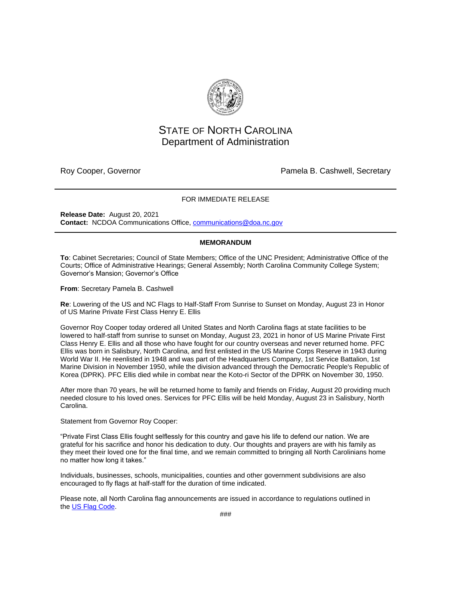

## STATE OF NORTH CAROLINA Department of Administration

Roy Cooper, Governor **Pamela B. Cashwell, Secretary** Pamela B. Cashwell, Secretary

## FOR IMMEDIATE RELEASE

**Release Date:** August 20, 2021 **Contact:** NCDOA Communications Office, [communications@doa.nc.gov](mailto:communications@doa.nc.gov)

## **MEMORANDUM**

**To**: Cabinet Secretaries; Council of State Members; Office of the UNC President; Administrative Office of the Courts; Office of Administrative Hearings; General Assembly; North Carolina Community College System; Governor's Mansion; Governor's Office

**From**: Secretary Pamela B. Cashwell

**Re**: Lowering of the US and NC Flags to Half-Staff From Sunrise to Sunset on Monday, August 23 in Honor of US Marine Private First Class Henry E. Ellis

Governor Roy Cooper today ordered all United States and North Carolina flags at state facilities to be lowered to half-staff from sunrise to sunset on Monday, August 23, 2021 in honor of US Marine Private First Class Henry E. Ellis and all those who have fought for our country overseas and never returned home. PFC Ellis was born in Salisbury, North Carolina, and first enlisted in the US Marine Corps Reserve in 1943 during World War II. He reenlisted in 1948 and was part of the Headquarters Company, 1st Service Battalion, 1st Marine Division in November 1950, while the division advanced through the Democratic People's Republic of Korea (DPRK). PFC Ellis died while in combat near the Koto-ri Sector of the DPRK on November 30, 1950.

After more than 70 years, he will be returned home to family and friends on Friday, August 20 providing much needed closure to his loved ones. Services for PFC Ellis will be held Monday, August 23 in Salisbury, North Carolina.

Statement from Governor Roy Cooper:

"Private First Class Ellis fought selflessly for this country and gave his life to defend our nation. We are grateful for his sacrifice and honor his dedication to duty. Our thoughts and prayers are with his family as they meet their loved one for the final time, and we remain committed to bringing all North Carolinians home no matter how long it takes."

Individuals, businesses, schools, municipalities, counties and other government subdivisions are also encouraged to fly flags at half-staff for the duration of time indicated.

Please note, all North Carolina flag announcements are issued in accordance to regulations outlined in the [US Flag Code.](https://urldefense.com/v3/__https:/click.icptrack.com/icp/relay.php?r=38281885&msgid=492697&act=RGEF&c=1346310&destination=https*3A*2F*2Fuscode.house.gov*2Fview.xhtml*3Freq*3Dgranuleid*253AUSC-prelim-title4-chapter1*26saved*3D*257CZ3JhbnVsZWlkOlVTQy1wcmVsaW0tdGl0bGU0LXNlY3Rpb242*257C*257C*257C0*257Cfalse*257Cprelim*26edition*3Dprelim&cf=15040&v=5e99b287d7c06dbd0ea253147d5bf8991113f13056d2f04008570f8037e5e8bd__;JSUlJSUlJSUlJSUlJSUlJSU!!HYmSToo!OhBjoSGGwyopBG3UT4r2mZp3d9HrPC4d7QQXVApNdgnzx5AiVBATRm5bk22Wtj1XSKQZ$)